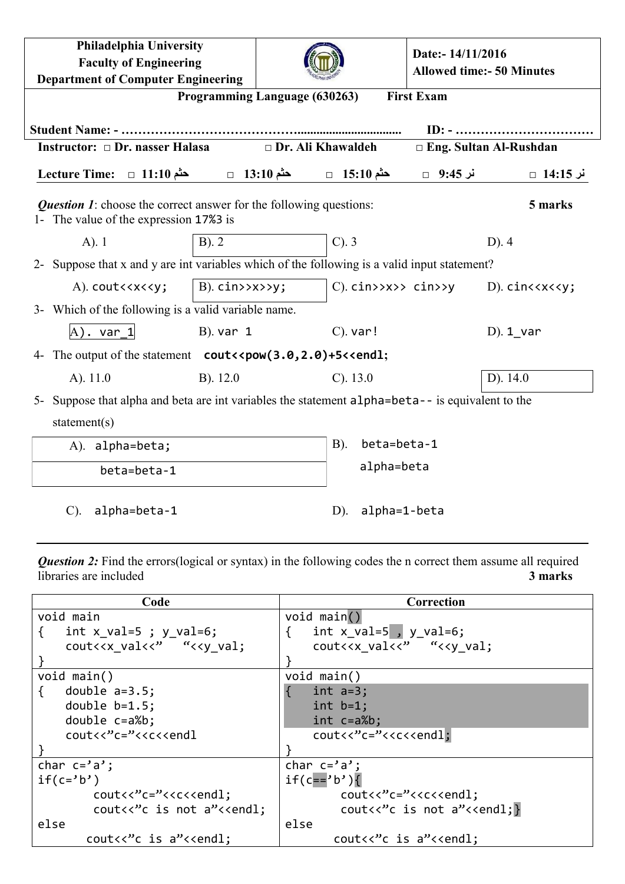| <b>Philadelphia University</b><br><b>Faculty of Engineering</b><br><b>Department of Computer Engineering</b>                                                                                                                                                                                                |                                                                   |                              | Date:- 14/11/2016 | <b>Allowed time:- 50 Minutes</b>                 |  |
|-------------------------------------------------------------------------------------------------------------------------------------------------------------------------------------------------------------------------------------------------------------------------------------------------------------|-------------------------------------------------------------------|------------------------------|-------------------|--------------------------------------------------|--|
| <b>First Exam</b><br>Programming Language (630263)                                                                                                                                                                                                                                                          |                                                                   |                              |                   |                                                  |  |
|                                                                                                                                                                                                                                                                                                             |                                                                   |                              |                   |                                                  |  |
| Instructor: $\Box$ Dr. nasser Halasa                                                                                                                                                                                                                                                                        | Dr. Ali Khawaldeh                                                 |                              |                   | $\Box$ Eng. Sultan Al-Rushdan                    |  |
| $\text{Lecture Time:} \quad \Box \quad 11:10 \quad \longrightarrow \qquad \qquad \Box \quad 13:10 \quad \longrightarrow \qquad \qquad \Box \quad 15:10$                                                                                                                                                     |                                                                   |                              |                   |                                                  |  |
| <b>Question 1:</b> choose the correct answer for the following questions:<br>5 marks<br>1- The value of the expression 17%3 is                                                                                                                                                                              |                                                                   |                              |                   |                                                  |  |
| $A)$ . 1<br>$B)$ . 2                                                                                                                                                                                                                                                                                        |                                                                   | $C$ ). $3$                   |                   | $D$ ). 4                                         |  |
| 2- Suppose that x and y are int variables which of the following is a valid input statement?                                                                                                                                                                                                                |                                                                   |                              |                   |                                                  |  |
| A). cout< <x<<y;< td=""><td><math>B</math>). <math>\text{cin} \rightarrow \text{xx} \rightarrow \text{yy}</math>;</td><td><math>C</math>). <math>c</math>in&gt;&gt;x&gt;&gt; <math>c</math>in&gt;&gt;y</td><td></td><td><math>D</math>). <math>cinc\langle x \langle \langle y \rangle</math></td></x<<y;<> | $B$ ). $\text{cin} \rightarrow \text{xx} \rightarrow \text{yy}$ ; | $C$ ). $c$ in>>x>> $c$ in>>y |                   | $D$ ). $cinc\langle x \langle \langle y \rangle$ |  |
| 3- Which of the following is a valid variable name.                                                                                                                                                                                                                                                         |                                                                   |                              |                   |                                                  |  |
| $A)$ . var 1                                                                                                                                                                                                                                                                                                | $B)$ . var 1                                                      | $C$ ). var!                  |                   | $D)$ . 1 var                                     |  |
| 4- The output of the statement cout << pow(3.0, 2.0) +5<< end1;                                                                                                                                                                                                                                             |                                                                   |                              |                   |                                                  |  |
| $A)$ . 11.0                                                                                                                                                                                                                                                                                                 | $B)$ . 12.0                                                       | $C)$ . 13.0                  |                   | D). 14.0                                         |  |
| 5- Suppose that alpha and beta are int variables the statement alpha=beta-- is equivalent to the                                                                                                                                                                                                            |                                                                   |                              |                   |                                                  |  |
| statement( $s$ )                                                                                                                                                                                                                                                                                            |                                                                   |                              |                   |                                                  |  |
| A). alpha=beta;                                                                                                                                                                                                                                                                                             |                                                                   | beta=beta-1<br><b>B</b> ).   |                   |                                                  |  |
| beta=beta-1                                                                                                                                                                                                                                                                                                 |                                                                   | alpha=beta                   |                   |                                                  |  |
| alpha=beta-1<br>$\mathcal{C}$ ).                                                                                                                                                                                                                                                                            |                                                                   | alpha=1-beta<br>$D$ ).       |                   |                                                  |  |

**Question 2:** Find the errors(logical or syntax) in the following codes the n correct them assume all required libraries are included **3 marks**

| Code                                                                                                                                                            | Correction                                                                                               |
|-----------------------------------------------------------------------------------------------------------------------------------------------------------------|----------------------------------------------------------------------------------------------------------|
| void main                                                                                                                                                       | void main()                                                                                              |
| int x val=5 ; y val=6;<br>₹                                                                                                                                     | int $x$ val=5, y val=6;<br>{                                                                             |
| cout< <x "<<y="" td="" val;<="" val<<"=""><td>cout&lt;<x "<<y="" td="" val;<="" val<<"=""></x></td></x>                                                         | cout< <x "<<y="" td="" val;<="" val<<"=""></x>                                                           |
|                                                                                                                                                                 |                                                                                                          |
| void $main()$                                                                                                                                                   | void $main()$                                                                                            |
| double $a=3.5$ ;<br>$\{$                                                                                                                                        | $int a=3;$                                                                                               |
| double $b=1.5$ ;                                                                                                                                                | $int b=1;$                                                                                               |
| double $c=a\%b$ ;                                                                                                                                               | $int c=a\%b;$                                                                                            |
| $c$ out< $c^{\prime\prime}$ c="< <c<<endl< th=""><th><math>\text{cout}\left\langle \text{c}^{\prime\prime}\text{c}=\text{c}\right\rangle</math></th></c<<endl<> | $\text{cout}\left\langle \text{c}^{\prime\prime}\text{c}=\text{c}\right\rangle$                          |
|                                                                                                                                                                 |                                                                                                          |
| char $c = 'a'$ ;                                                                                                                                                | char $c = 'a'$ ;                                                                                         |
| $if(c='b')$                                                                                                                                                     | $if(c == 'b')$                                                                                           |
| $\text{cout} \left\langle \text{c}^{\prime\prime}\text{c}^{\prime} \text{c}^{\prime\prime}\right\rangle$                                                        | $\text{cout} \left\langle \text{c}^{\prime\prime}\text{c}^{\prime} \text{c}^{\prime\prime}\right\rangle$ |
| cout<<"c is not a"< <endl;< th=""><th><math>\text{cout} \ll \text{c}</math> is not a"&lt;<endl;< th=""></endl;<></th></endl;<>                                  | $\text{cout} \ll \text{c}$ is not a"< <endl;< th=""></endl;<>                                            |
| else                                                                                                                                                            | else                                                                                                     |
| cout<<"c is a"< <endl;< td=""><td>cout&lt;&lt;"c is a"&lt;<endl;< td=""></endl;<></td></endl;<>                                                                 | cout<<"c is a"< <endl;< td=""></endl;<>                                                                  |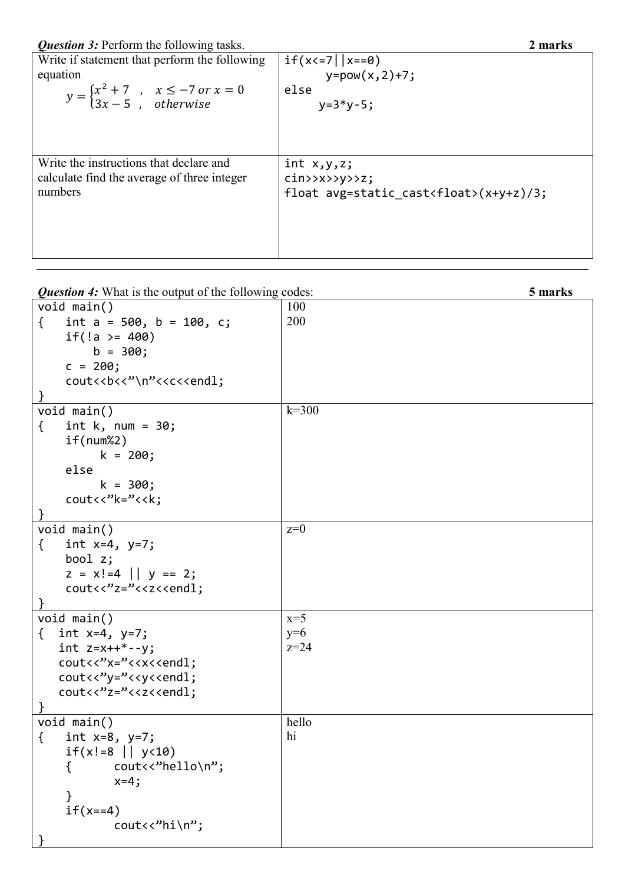| Write if statement that perform the following<br>equation<br>$y = \begin{cases} x^2 + 7, & x \le -7 \text{ or } x = 0 \\ 3x - 5, & otherwise \end{cases}$ | $if(x<=7 \mid  x==0)$<br>$y = pow(x, 2) + 7;$<br>else<br>$y=3*y-5;$ |
|-----------------------------------------------------------------------------------------------------------------------------------------------------------|---------------------------------------------------------------------|
| Write the instructions that declare and                                                                                                                   | int x, y, z;                                                        |
| calculate find the average of three integer                                                                                                               | $\text{cin}\text{>>}\text{--}\text{--}\text{--}$                    |
| numbers                                                                                                                                                   | float avg=static cast <float><math>(x+y+z)/3</math>;</float>        |

*Question 4:* What is the output of the following codes: **5 marks**

| void $main()$                                                                                                                    | 100       |
|----------------------------------------------------------------------------------------------------------------------------------|-----------|
| int $a = 500$ , $b = 100$ , c;<br>$\{$                                                                                           | 200       |
| if(!a >= $400$ )                                                                                                                 |           |
| $b = 300;$                                                                                                                       |           |
| $c = 200;$                                                                                                                       |           |
| cout< <b<<''\n"<<c<<endl;< td=""><td></td></b<<''\n"<<c<<endl;<>                                                                 |           |
|                                                                                                                                  |           |
| void main()                                                                                                                      | $k = 300$ |
| $\{$<br>int $k$ , num = 30;                                                                                                      |           |
|                                                                                                                                  |           |
| if(num%2)                                                                                                                        |           |
| $k = 200;$                                                                                                                       |           |
| else                                                                                                                             |           |
| $k = 300;$                                                                                                                       |           |
| $\text{cout} \left\langle \left\langle \cdot \right\rangle^{\prime} \left\langle \left\langle \cdot \right\rangle \right\rangle$ |           |
|                                                                                                                                  |           |
| void main()                                                                                                                      | $z=0$     |
| int $x=4$ , $y=7$ ;<br>$\{$                                                                                                      |           |
| bool $z$ ;                                                                                                                       |           |
| $z = x! = 4$    $y == 2;$                                                                                                        |           |
| cout<<"z="< <z<<endl;< td=""><td></td></z<<endl;<>                                                                               |           |
| $\mathcal{F}$                                                                                                                    |           |
| void main()                                                                                                                      | $x=5$     |
| { int $x=4$ , $y=7$ ;                                                                                                            | $y=6$     |
| int $z=x++*-y$ ;                                                                                                                 | $z=24$    |
| cout<<"x="< <x<<endl;< td=""><td></td></x<<endl;<>                                                                               |           |
| cout<<"y="< <y<<endl;< td=""><td></td></y<<endl;<>                                                                               |           |
| cout<<"z="< <z<<endl;< td=""><td></td></z<<endl;<>                                                                               |           |
|                                                                                                                                  |           |
|                                                                                                                                  | hello     |
| void main()                                                                                                                      | hi        |
| $\{$<br>int x=8, y=7;                                                                                                            |           |
| $if(x!=8     y<10)$                                                                                                              |           |
|                                                                                                                                  |           |
| $x=4;$                                                                                                                           |           |
| }                                                                                                                                |           |
| $if(x==4)$                                                                                                                       |           |
| cout<<"hi\n";                                                                                                                    |           |
|                                                                                                                                  |           |